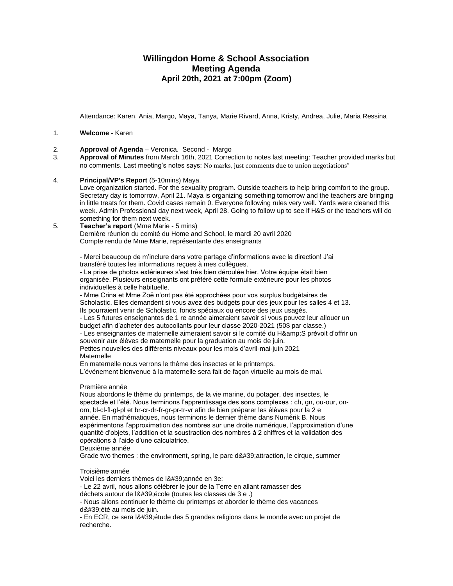# **Willingdon Home & School Association Meeting Agenda April 20th, 2021 at 7:00pm (Zoom)**

Attendance: Karen, Ania, Margo, Maya, Tanya, Marie Rivard, Anna, Kristy, Andrea, Julie, Maria Ressina

#### 1. **Welcome** - Karen

- 2. **Approval of Agenda** Veronica. Second Margo
- 3. **Approval of Minutes** from March 16th, 2021 Correction to notes last meeting: Teacher provided marks but no comments. Last meeting's notes says: No marks, just comments due to union negotiations"
- 4. **Principal/VP's Report** (5-10mins) Maya.

Love organization started. For the sexuality program. Outside teachers to help bring comfort to the group. Secretary day is tomorrow, April 21. Maya is organizing something tomorrow and the teachers are bringing in little treats for them. Covid cases remain 0. Everyone following rules very well. Yards were cleaned this week. Admin Professional day next week, April 28. Going to follow up to see if H&S or the teachers will do something for them next week.

#### 5. **Teacher's report** (Mme Marie - 5 mins) Dernière réunion du comité du Home and School, le mardi 20 avril 2020 Compte rendu de Mme Marie, représentante des enseignants

- Merci beaucoup de m'inclure dans votre partage d'informations avec la direction! J'ai transféré toutes les informations reçues à mes collègues.

- La prise de photos extérieures s'est très bien déroulée hier. Votre équipe était bien organisée. Plusieurs enseignants ont préféré cette formule extérieure pour les photos individuelles à celle habituelle.

- Mme Crina et Mme Zoë n'ont pas été approchées pour vos surplus budgétaires de Scholastic. Elles demandent si vous avez des budgets pour des jeux pour les salles 4 et 13. Ils pourraient venir de Scholastic, fonds spéciaux ou encore des jeux usagés. - Les 5 futures enseignantes de 1 re année aimeraient savoir si vous pouvez leur allouer un

budget afin d'acheter des autocollants pour leur classe 2020-2021 (50\$ par classe.)

- Les enseignantes de maternelle aimeraient savoir si le comité du H& S prévoit d'offrir un souvenir aux élèves de maternelle pour la graduation au mois de juin.

Petites nouvelles des différents niveaux pour les mois d'avril-mai-juin 2021 **Maternelle** 

En maternelle nous verrons le thème des insectes et le printemps.

L'événement bienvenue à la maternelle sera fait de façon virtuelle au mois de mai.

#### Première année

Nous abordons le thème du printemps, de la vie marine, du potager, des insectes, le spectacle et l'été. Nous terminons l'apprentissage des sons complexes : ch, gn, ou-our, onom, bl-cl-fl-gl-pl et br-cr-dr-fr-gr-pr-tr-vr afin de bien préparer les élèves pour la 2 e année. En mathématiques, nous terminons le dernier thème dans Numérik B. Nous expérimentons l'approximation des nombres sur une droite numérique, l'approximation d'une quantité d'objets, l'addition et la soustraction des nombres à 2 chiffres et la validation des opérations à l'aide d'une calculatrice.

Deuxième année

Grade two themes : the environment, spring, le parc d'attraction, le cirque, summer

#### Troisième année

Voici les derniers thèmes de l&#39: année en 3e:

- Le 22 avril, nous allons célébrer le jour de la Terre en allant ramasser des

déchets autour de l' école (toutes les classes de 3 e .)

- Nous allons continuer le thème du printemps et aborder le thème des vacances d'été au mois de juin.

- En ECR, ce sera l'étude des 5 grandes religions dans le monde avec un projet de recherche.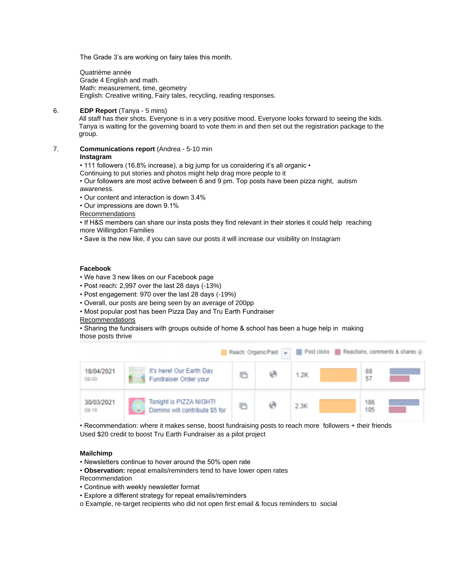The Grade 3's are working on fairy tales this month.

Quatrième année Grade 4 English and math. Math: measurement, time, geometry English: Creative writing, Fairy tales, recycling, reading responses.

### 6. **EDP Report** (Tanya - 5 mins)

All staff has their shots. Everyone is in a very positive mood. Everyone looks forward to seeing the kids. Tanya is waiting for the governing board to vote them in and then set out the registration package to the group.

7. **Communications report** (Andrea - 5-10 min

#### **Instagram**

• 111 followers (16.8% increase), a big jump for us considering it's all organic •

Continuing to put stories and photos might help drag more people to it

• Our followers are most active between 6 and 9 pm. Top posts have been pizza night, autism awareness.

• Our content and interaction is down 3.4%

• Our impressions are down 9.1%

Recommendations

• If H&S members can share our insta posts they find relevant in their stories it could help reaching more Willingdon Families

• Save is the new like, if you can save our posts it will increase our visibility on Instagram

# **Facebook**

- We have 3 new likes on our Facebook page
- Post reach: 2,997 over the last 28 days (-13%)
- Post engagement: 970 over the last 28 days (-19%)
- Overall, our posts are being seen by an average of 200pp
- Most popular post has been Pizza Day and Tru Earth Fundraiser
- Recommendations

• Sharing the fundraisers with groups outside of home & school has been a huge help in making those posts thrive

|                     | Reach: Organic/Paid - Post clicks Reactions, comments & shares |   |  |      |            |  |  |  |  |
|---------------------|----------------------------------------------------------------|---|--|------|------------|--|--|--|--|
| 18/04/2021<br>09:00 | It's here! Our Earth Day<br>Fundraiser Order your              | n |  | 1.2K | 88<br>57   |  |  |  |  |
| 30/03/2021<br>00:15 | Tonight is PIZZA NIGHT!<br>Domino will contribute \$5 for      | G |  | 2.3K | 186<br>105 |  |  |  |  |

• Recommendation: where it makes sense, boost fundraising posts to reach more followers + their friends Used \$20 credit to boost Tru Earth Fundraiser as a pilot project

### **Mailchimp**

- Newsletters continue to hover around the 50% open rate
- **Observation:** repeat emails/reminders tend to have lower open rates
- Recommendation
- Continue with weekly newsletter format
- Explore a different strategy for repeat emails/reminders
- o Example, re-target recipients who did not open first email & focus reminders to social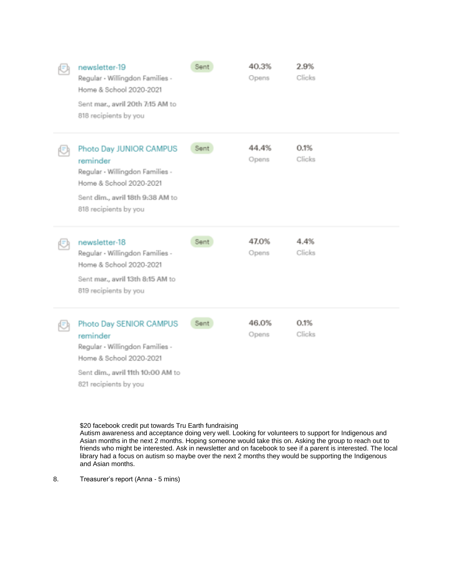| newsletter-19<br>Regular - Willingdon Families -<br>Home & School 2020-2021<br>Sent mar., avril 20th 7:15 AM to<br>818 recipients by you                       | Sent | 40.3%<br>Opens | 2.9%<br>Clicks |
|----------------------------------------------------------------------------------------------------------------------------------------------------------------|------|----------------|----------------|
| Photo Day JUNIOR CAMPUS<br>reminder<br>Regular - Willingdon Families -<br>Home & School 2020-2021<br>Sent dim., avril 18th 9:38 AM to<br>818 recipients by you | Sent | 44.4%<br>Opens | 0.1%<br>Clicks |
|                                                                                                                                                                |      |                |                |
| newsletter-18<br>Regular - Willingdon Families -<br>Home & School 2020-2021<br>Sent mar., avril 13th 8:15 AM to<br>819 recipients by you                       | Sent | 47.0%<br>Opens | 4.4%<br>Clicks |

\$20 facebook credit put towards Tru Earth fundraising

Autism awareness and acceptance doing very well. Looking for volunteers to support for Indigenous and Asian months in the next 2 months. Hoping someone would take this on. Asking the group to reach out to friends who might be interested. Ask in newsletter and on facebook to see if a parent is interested. The local library had a focus on autism so maybe over the next 2 months they would be supporting the Indigenous and Asian months.

8. Treasurer's report (Anna - 5 mins)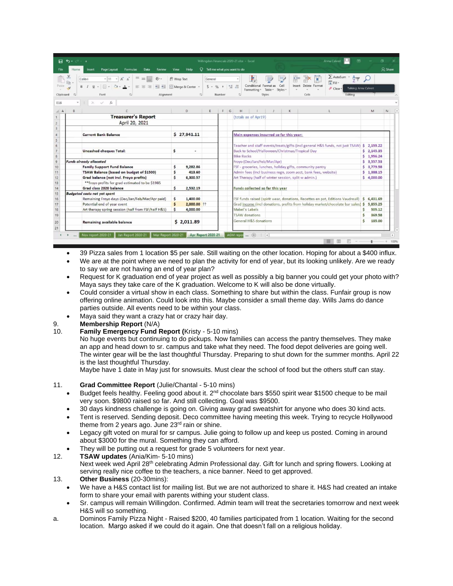|                                          | H 6.                                                                                                                                                                                                 |             |                                    |                                                       |        |   | Willingdon Financials 2020-21.xlsx - Excel                                       |                  |                                                 | Anna Calvert<br>$\overline{15}$                                                                             |              | σ          |              |
|------------------------------------------|------------------------------------------------------------------------------------------------------------------------------------------------------------------------------------------------------|-------------|------------------------------------|-------------------------------------------------------|--------|---|----------------------------------------------------------------------------------|------------------|-------------------------------------------------|-------------------------------------------------------------------------------------------------------------|--------------|------------|--------------|
|                                          | Page Layout<br><b>Formulas</b><br>Data<br>Review<br>Home<br>Insert                                                                                                                                   | View        | Help                               |                                                       |        |   | Tell me what you want to do                                                      |                  |                                                 |                                                                                                             |              |            | A Share      |
| Paste<br>Clipboard                       | Æ<br>三<br>$-11 -$<br>$\equiv$<br>Calibri<br>Em<br>$\underline{U}$ + $\Box$ + $\Im$ +<br>经理<br>$\Lambda$<br>$\equiv$ $\equiv$<br>$\equiv$<br>$B$ $I$<br>Font<br>$\sqrt{2}$<br>Alignment<br>$\sqrt{2}$ | 광 Wrap Text | Merge & Center +<br>$\overline{u}$ | General<br>$5 - 96 + \frac{69}{100} + \frac{09}{100}$ | Number |   | Conditional<br>Format as<br>Table -<br>Formatting =<br><b>Styles</b>             | Cell<br>Styles * | 薛<br>F<br>π<br>Delete Format<br>Insert<br>Cells | $\sum$ AutoSum $*$<br>Acer<br>$\overline{\downarrow}$ Fill -<br>Talking: Anna Calvert<br>Clear *<br>Editing |              |            |              |
| E16                                      | ><br>$f_x$<br>S.                                                                                                                                                                                     |             |                                    |                                                       |        |   |                                                                                  |                  |                                                 |                                                                                                             |              |            |              |
| $\mathbf{A}$                             | B                                                                                                                                                                                                    |             | D                                  |                                                       | F.     | G | H                                                                                | κ                |                                                 |                                                                                                             |              | M          | $\mathsf{N}$ |
| <b>Treasurer's Report</b>                |                                                                                                                                                                                                      |             |                                    |                                                       |        |   | (totals as of Apr19)                                                             |                  |                                                 |                                                                                                             |              |            |              |
| April 20, 2021                           |                                                                                                                                                                                                      |             |                                    |                                                       |        |   |                                                                                  |                  |                                                 |                                                                                                             |              |            |              |
| <b>Current Bank Balance</b>              |                                                                                                                                                                                                      |             | \$27,941.11                        |                                                       |        |   | Main expenses incurred so far this year:                                         |                  |                                                 |                                                                                                             |              |            |              |
|                                          |                                                                                                                                                                                                      |             |                                    |                                                       |        |   |                                                                                  |                  |                                                 |                                                                                                             |              |            |              |
|                                          |                                                                                                                                                                                                      |             |                                    |                                                       |        |   | Teacher and staff events/treats/gifts (incl general H&S funds, not just TSAW)    |                  |                                                 |                                                                                                             |              | \$2,155.22 |              |
|                                          | <b>Uncashed cheques Total:</b><br>\$                                                                                                                                                                 |             |                                    |                                                       |        |   | Back to School/Halloween/Christmas/Tropical Day                                  |                  |                                                 |                                                                                                             |              | \$2,145.35 |              |
|                                          |                                                                                                                                                                                                      |             |                                    |                                                       |        |   | <b>Bike Racks</b>                                                                |                  |                                                 |                                                                                                             |              | \$1,956.24 |              |
|                                          | <b>Funds already allocated</b>                                                                                                                                                                       |             |                                    |                                                       |        |   | Froyo (Dec/Jan/Feb/Mar/Apr)                                                      |                  |                                                 |                                                                                                             |              | \$3,557.53 |              |
| <b>Family Support Fund Balance</b>       |                                                                                                                                                                                                      |             | 9,282.86                           |                                                       |        |   | FSF - groceries, lunches, holiday gifts, community pantry                        |                  |                                                 |                                                                                                             |              | \$3,779.58 |              |
| TSAW Balance (based on budget of \$1500) |                                                                                                                                                                                                      |             | 413.60                             |                                                       |        |   | Admin fees (incl business regn, zoom acct, bank fees, website)                   |                  |                                                 |                                                                                                             |              | \$1,388.15 |              |
| Grad balance (not incl. Froyo profits)   |                                                                                                                                                                                                      |             | 6,300.57                           |                                                       |        |   | Art Therapy (half of winter session, split w admin.)                             |                  |                                                 |                                                                                                             |              | \$4,000.00 |              |
|                                          | ** froyo profits for grad estimated to be \$1985                                                                                                                                                     |             |                                    |                                                       |        |   |                                                                                  |                  |                                                 |                                                                                                             |              |            |              |
|                                          | Grad class 2020 balance                                                                                                                                                                              |             | 2,532.19                           |                                                       |        |   | Funds collected so far this year                                                 |                  |                                                 |                                                                                                             |              |            |              |
|                                          | <b>Budgeted costs not yet spent</b>                                                                                                                                                                  |             |                                    |                                                       |        |   |                                                                                  |                  |                                                 |                                                                                                             |              |            |              |
|                                          | Remaining Froyo days (Dec/Jan/Feb/Mar/Apr paid)                                                                                                                                                      | \$          | 1,400.00                           |                                                       |        |   | FSF funds raised (spirit wear, donations, Recettes en pot, Editions Vaudreuil)   |                  |                                                 |                                                                                                             | $\mathsf{s}$ | 6,431.69   |              |
|                                          | Potential end of year event                                                                                                                                                                          |             | 2,000.00 ??                        |                                                       |        |   | Grad income (incl donations, profits from holiday market/chocolate bar sales) \$ |                  |                                                 |                                                                                                             | 5,855.25     |            |              |
|                                          | Art therapy spring session (half from FSF/half H&S)                                                                                                                                                  | s           | 4,000.00                           |                                                       |        |   | Mabel's Labels                                                                   |                  |                                                 |                                                                                                             |              | 505.12     |              |
|                                          |                                                                                                                                                                                                      |             |                                    |                                                       |        |   | <b>TSAW</b> donations                                                            |                  |                                                 |                                                                                                             |              | 369.58     |              |
|                                          | <b>Remaining available balance</b>                                                                                                                                                                   |             | \$2,011.89                         |                                                       |        |   | General H&S donations                                                            |                  |                                                 |                                                                                                             |              | 185,00     |              |
|                                          |                                                                                                                                                                                                      |             |                                    |                                                       |        |   |                                                                                  |                  |                                                 |                                                                                                             |              |            |              |

- 39 Pizza sales from 1 location \$5 per sale. Still waiting on the other location. Hoping for about a \$400 influx.
- We are at the point where we need to plan the activity for end of year, but its looking unlikely. Are we ready to say we are not having an end of year plan?
- Request for K graduation end of year project as well as possibly a big banner you could get your photo with? Maya says they take care of the K graduation. Welcome to K will also be done virtually.
- Could consider a virtual show in each class. Something to share but within the class. Funfair group is now offering online animation. Could look into this. Maybe consider a small theme day. Wills Jams do dance parties outside. All events need to be within your class.
- Maya said they want a crazy hat or crazy hair day.

# 9. **Membership Report** (N/A)

10. **Family Emergency Fund Report (**Kristy - 5-10 mins)

No huge events but continuing to do pickups. Now families can access the pantry themselves. They make an app and head down to sr. campus and take what they need. The food depot deliveries are going well. The winter gear will be the last thoughtful Thursday. Preparing to shut down for the summer months. April 22 is the last thoughtful Thursday.

Maybe have 1 date in May just for snowsuits. Must clear the school of food but the others stuff can stay.

# 11. **Grad Committee Report** (Julie/Chantal - 5-10 mins)

- Budget feels healthy. Feeling good about it. 2<sup>nd</sup> chocolate bars \$550 spirit wear \$1500 cheque to be mail very soon. \$9800 raised so far. And still collecting. Goal was \$9500.
- 30 days kindness challenge is going on. Giving away grad sweatshirt for anyone who does 30 kind acts.
- Tent is reserved. Sending deposit. Deco committee having meeting this week. Trying to recycle Hollywood theme from 2 years ago. June 23<sup>rd</sup> rain or shine.
- Legacy gift voted on mural for sr campus. Julie going to follow up and keep us posted. Coming in around about \$3000 for the mural. Something they can afford.
- They will be putting out a request for grade 5 volunteers for next year.
- 12. **TSAW updates** (Ania/Kim- 5-10 mins) Next week wed April 28<sup>th</sup> celebrating Admin Professional day. Gift for lunch and spring flowers. Looking at serving really nice coffee to the teachers, a nice banner. Need to get approved.
- 13. **Other Business** (20-30mins):
	- We have a H&S contact list for mailing list. But we are not authorized to share it. H&S had created an intake form to share your email with parents withing your student class.
	- Sr. campus will remain Willingdon. Confirmed. Admin team will treat the secretaries tomorrow and next week H&S will so something.
- a. Dominos Family Pizza Night Raised \$200, 40 families participated from 1 location. Waiting for the second location. Margo asked if we could do it again. One that doesn't fall on a religious holiday.